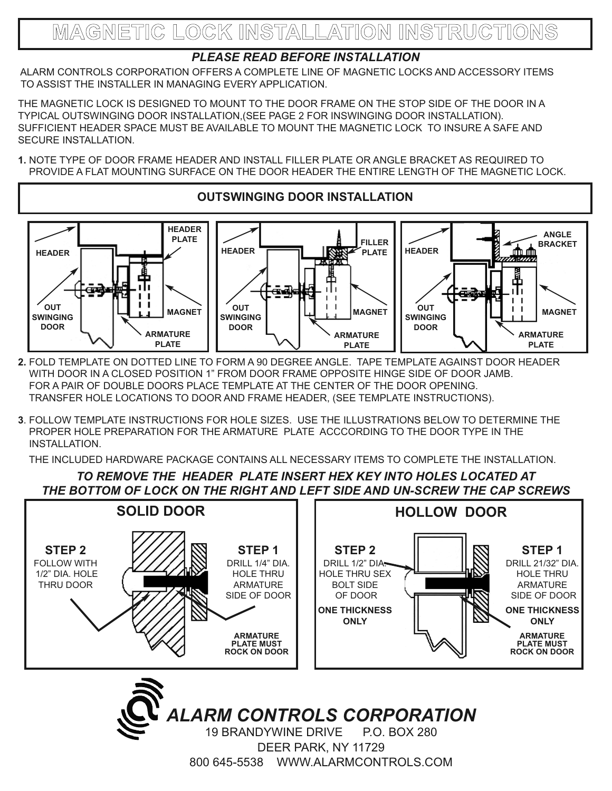#### *PLEASE READ BEFORE INSTALLATION*

ALARM CONTROLS CORPORATION OFFERS A COMPLETE LINE OF MAGNETIC LOCKS AND ACCESSORY ITEMS TO ASSIST THE INSTALLER IN MANAGING EVERY APPLICATION.

THE MAGNETIC LOCK IS DESIGNED TO MOUNT TO THE DOOR FRAME ON THE STOP SIDE OF THE DOOR IN A TYPICAL OUTSWINGING DOOR INSTALLATION,(SEE PAGE 2 FOR INSWINGING DOOR INSTALLATION). SUFFICIENT HEADER SPACE MUST BE AVAILABLE TO MOUNT THE MAGNETIC LOCK TO INSURE A SAFE AND SECURE INSTALLATION.

**1.** NOTE TYPE OF DOOR FRAME HEADER AND INSTALL FILLER PLATE OR ANGLE BRACKET AS REQUIRED TO PROVIDE A FLAT MOUNTING SURFACE ON THE DOOR HEADER THE ENTIRE LENGTH OF THE MAGNETIC LOCK.



**2.** FOLD TEMPLATE ON DOTTED LINE TO FORM A 90 DEGREE ANGLE. TAPE TEMPLATE AGAINST DOOR HEADER WITH DOOR IN A CLOSED POSITION 1" FROM DOOR FRAME OPPOSITE HINGE SIDE OF DOOR JAMB. FOR A PAIR OF DOUBLE DOORS PLACE TEMPLATE AT THE CENTER OF THE DOOR OPENING. TRANSFER HOLE LOCATIONS TO DOOR AND FRAME HEADER, (SEE TEMPLATE INSTRUCTIONS).

**3**. FOLLOW TEMPLATE INSTRUCTIONS FOR HOLE SIZES. USE THE ILLUSTRATIONS BELOW TO DETERMINE THE PROPER HOLE PREPARATION FOR THE ARMATURE PLATE ACCCORDING TO THE DOOR TYPE IN THE INSTALLATION.

THE INCLUDED HARDWARE PACKAGE CONTAINS ALL NECESSARY ITEMS TO COMPLETE THE INSTALLATION.

*TO REMOVE THE HEADER PLATE INSERT HEX KEY INTO HOLES LOCATED AT THE BOTTOM OF LOCK ON THE RIGHT AND LEFT SIDE AND UN-SCREW THE CAP SCREWS*



19 BRANDYWINE DRIVE P.O. BOX 280 DEER PARK, NY 11729 800 645-5538 WWW.ALARMCONTROLS.COM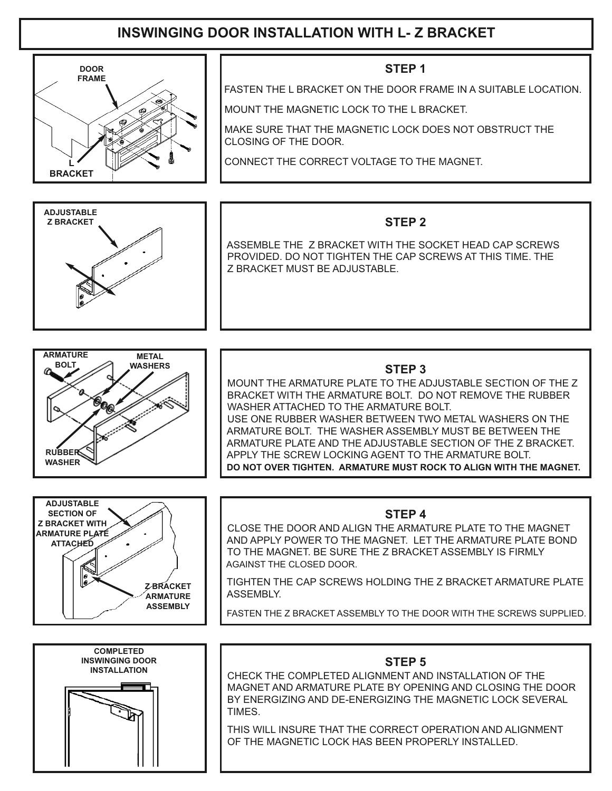## **INSWINGING DOOR INSTALLATION WITH L- Z BRACKET**

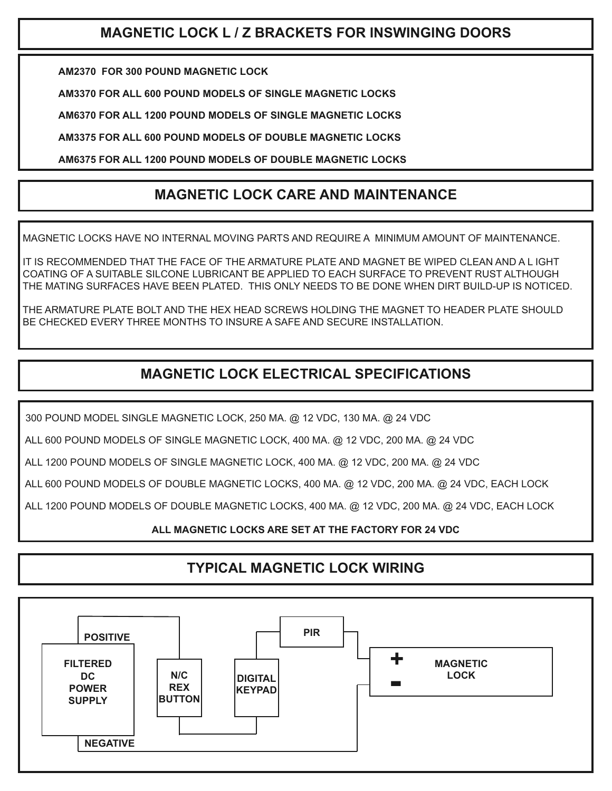## **MAGNETIC LOCK L / Z BRACKETS FOR INSWINGING DOORS**

**AM2370 FOR 300 POUND MAGNETIC LOCK**

**AM3370 FOR ALL 600 POUND MODELS OF SINGLE MAGNETIC LOCKS**

**AM6370 FOR ALL 1200 POUND MODELS OF SINGLE MAGNETIC LOCKS**

**AM3375 FOR ALL 600 POUND MODELS OF DOUBLE MAGNETIC LOCKS**

**AM6375 FOR ALL 1200 POUND MODELS OF DOUBLE MAGNETIC LOCKS**

### **MAGNETIC LOCK CARE AND MAINTENANCE**

MAGNETIC LOCKS HAVE NO INTERNAL MOVING PARTS AND REQUIRE A MINIMUM AMOUNT OF MAINTENANCE.

IT IS RECOMMENDED THAT THE FACE OF THE ARMATURE PLATE AND MAGNET BE WIPED CLEAN AND A L IGHT COATING OF A SUITABLE SILCONE LUBRICANT BE APPLIED TO EACH SURFACE TO PREVENT RUST ALTHOUGH THE MATING SURFACES HAVE BEEN PLATED. THIS ONLY NEEDS TO BE DONE WHEN DIRT BUILD-UP IS NOTICED.

THE ARMATURE PLATE BOLT AND THE HEX HEAD SCREWS HOLDING THE MAGNET TO HEADER PLATE SHOULD BE CHECKED EVERY THREE MONTHS TO INSURE A SAFE AND SECURE INSTALLATION.

## **MAGNETIC LOCK ELECTRICAL SPECIFICATIONS**

300 POUND MODEL SINGLE MAGNETIC LOCK, 250 MA. @ 12 VDC, 130 MA. @ 24 VDC

ALL 600 POUND MODELS OF SINGLE MAGNETIC LOCK, 400 MA. @ 12 VDC, 200 MA. @ 24 VDC

ALL 1200 POUND MODELS OF SINGLE MAGNETIC LOCK, 400 MA. @ 12 VDC, 200 MA. @ 24 VDC

ALL 600 POUND MODELS OF DOUBLE MAGNETIC LOCKS, 400 MA. @ 12 VDC, 200 MA. @ 24 VDC, EACH LOCK

ALL 1200 POUND MODELS OF DOUBLE MAGNETIC LOCKS, 400 MA. @ 12 VDC, 200 MA. @ 24 VDC, EACH LOCK

#### **ALL MAGNETIC LOCKS ARE SET AT THE FACTORY FOR 24 VDC**

### **TYPICAL MAGNETIC LOCK WIRING**

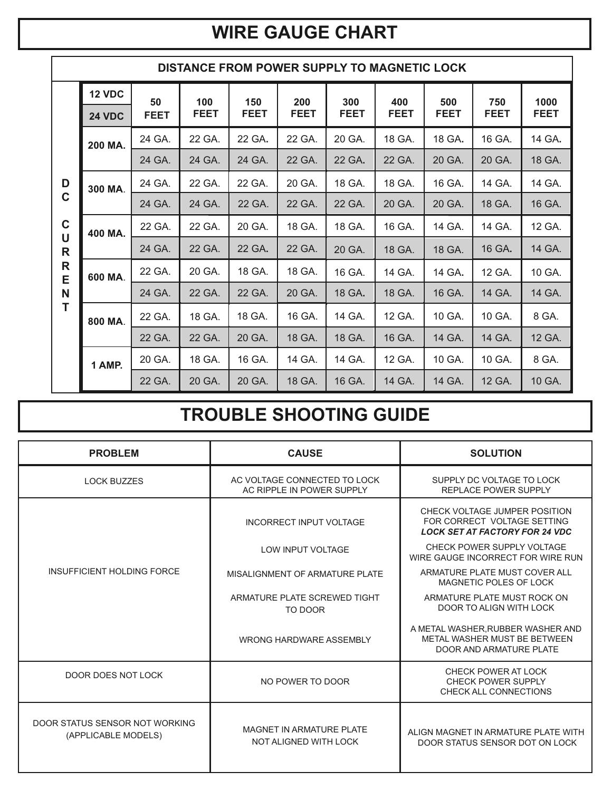# **WIRE GAUGE CHART**

|                                                               | <b>DISTANCE FROM POWER SUPPLY TO MAGNETIC LOCK</b> |             |             |             |             |             |             |             |             |             |  |  |  |
|---------------------------------------------------------------|----------------------------------------------------|-------------|-------------|-------------|-------------|-------------|-------------|-------------|-------------|-------------|--|--|--|
|                                                               | <b>12 VDC</b>                                      | 50          | 100         | 150         | 200         | 300         | 400         | 500         | 750         | 1000        |  |  |  |
| D<br>$\mathbf C$<br>$\mathbf c$<br>$\cup$<br>R<br>R<br>E<br>N | <b>24 VDC</b>                                      | <b>FEET</b> | <b>FEET</b> | <b>FEET</b> | <b>FEET</b> | <b>FEET</b> | <b>FEET</b> | <b>FEET</b> | <b>FEET</b> | <b>FEET</b> |  |  |  |
|                                                               | 200 MA.                                            | 24 GA.      | 22 GA.      | 22 GA.      | 22 GA.      | 20 GA.      | 18 GA.      | 18 GA.      | 16 GA.      | 14 GA.      |  |  |  |
|                                                               |                                                    | 24 GA.      | 24 GA.      | 24 GA.      | 22 GA.      | 22 GA.      | 22 GA.      | 20 GA.      | 20 GA.      | 18 GA.      |  |  |  |
|                                                               | 300 MA.                                            | 24 GA.      | 22 GA.      | 22 GA.      | 20 GA.      | 18 GA.      | 18 GA.      | 16 GA.      | 14 GA.      | 14 GA.      |  |  |  |
|                                                               |                                                    | 24 GA.      | 24 GA.      | 22 GA.      | 22 GA.      | 22 GA.      | 20 GA.      | 20 GA.      | 18 GA.      | 16 GA.      |  |  |  |
|                                                               | 400 MA.                                            | 22 GA.      | 22 GA.      | 20 GA.      | 18 GA.      | 18 GA.      | 16 GA.      | 14 GA.      | 14 GA.      | 12 GA.      |  |  |  |
|                                                               |                                                    | 24 GA.      | 22 GA.      | 22 GA.      | 22 GA.      | 20 GA.      | 18 GA.      | 18 GA.      | 16 GA.      | 14 GA.      |  |  |  |
|                                                               | 600 MA.                                            | 22 GA.      | 20 GA.      | 18 GA.      | 18 GA.      | 16 GA.      | 14 GA.      | 14 GA.      | 12 GA.      | 10 GA.      |  |  |  |
|                                                               |                                                    | 24 GA.      | 22 GA.      | 22 GA.      | 20 GA.      | 18 GA.      | 18 GA.      | 16 GA.      | 14 GA.      | 14 GA.      |  |  |  |
|                                                               | 800 MA.                                            | 22 GA.      | 18 GA.      | 18 GA.      | 16 GA.      | 14 GA.      | 12 GA.      | 10 GA.      | 10 GA.      | 8 GA.       |  |  |  |
|                                                               |                                                    | 22 GA.      | 22 GA.      | 20 GA.      | 18 GA.      | 18 GA.      | 16 GA.      | 14 GA.      | 14 GA.      | 12 GA.      |  |  |  |
|                                                               | 1 AMP.                                             | 20 GA.      | 18 GA.      | 16 GA.      | 14 GA.      | 14 GA.      | 12 GA.      | 10 GA.      | 10 GA.      | 8 GA.       |  |  |  |
|                                                               |                                                    | 22 GA.      | 20 GA.      | 20 GA.      | 18 GA.      | 16 GA.      | 14 GA.      | 14 GA.      | 12 GA.      | 10 GA.      |  |  |  |

# **TROUBLE SHOOTING GUIDE**

| <b>PROBLEM</b>                                                                                            | <b>CAUSE</b>                                              | <b>SOLUTION</b>                                                                                       |
|-----------------------------------------------------------------------------------------------------------|-----------------------------------------------------------|-------------------------------------------------------------------------------------------------------|
| <b>LOCK BUZZES</b>                                                                                        | AC VOLTAGE CONNECTED TO LOCK<br>AC RIPPLE IN POWER SUPPLY | SUPPLY DC VOLTAGE TO LOCK<br><b>REPLACE POWER SUPPLY</b>                                              |
|                                                                                                           | INCORRECT INPUT VOLTAGE                                   | CHECK VOLTAGE JUMPER POSITION<br>FOR CORRECT VOLTAGE SETTING<br><b>LOCK SET AT FACTORY FOR 24 VDC</b> |
| INSUFFICIENT HOLDING FORCE<br>DOOR DOES NOT LOCK<br>DOOR STATUS SENSOR NOT WORKING<br>(APPLICABLE MODELS) | <b>LOW INPUT VOLTAGE</b>                                  | CHECK POWER SUPPLY VOLTAGE<br>WIRE GAUGE INCORRECT FOR WIRE RUN                                       |
|                                                                                                           | MISALIGNMENT OF ARMATURE PLATE                            | ARMATURE PLATE MUST COVER ALL<br>MAGNETIC POLES OF LOCK                                               |
|                                                                                                           | ARMATURE PLATE SCREWED TIGHT<br>TO DOOR                   | ARMATURE PLATE MUST ROCK ON<br>DOOR TO ALIGN WITH LOCK                                                |
|                                                                                                           | WRONG HARDWARE ASSEMBLY                                   | A METAL WASHER, RUBBER WASHER AND<br>METAL WASHER MUST BE BETWEEN<br>DOOR AND ARMATURE PLATE          |
|                                                                                                           | NO POWER TO DOOR                                          | CHECK POWER AT LOCK<br>CHECK POWER SUPPLY<br>CHECK ALL CONNECTIONS                                    |
|                                                                                                           | MAGNET IN ARMATURE PLATE<br>NOT ALIGNED WITH LOCK         | ALIGN MAGNET IN ARMATURE PLATE WITH<br>DOOR STATUS SENSOR DOT ON LOCK                                 |